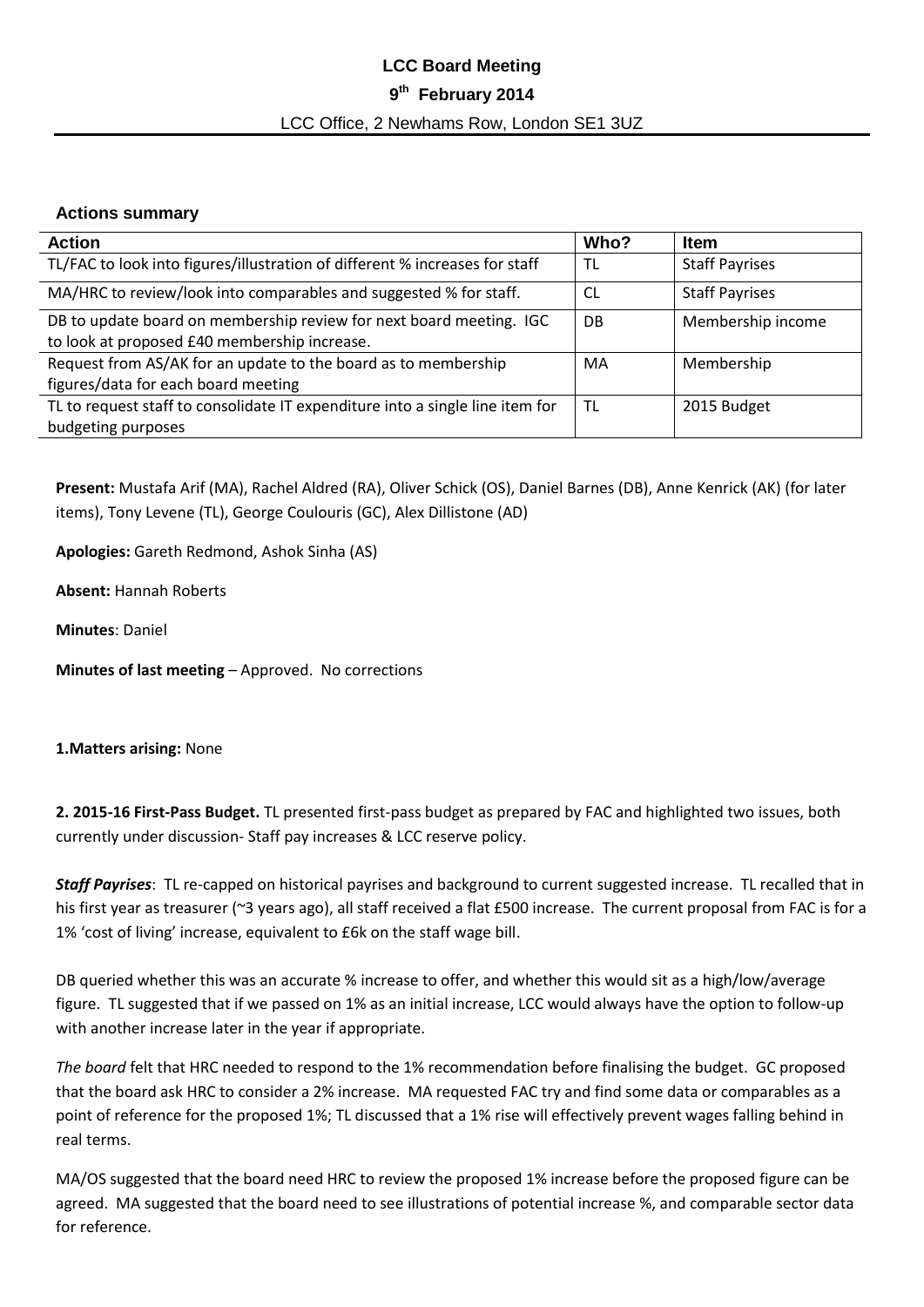# **LCC Board Meeting 9 th February 2014** LCC Office, 2 Newhams Row, London SE1 3UZ

# **Actions summary**

| <b>Action</b>                                                                 | Who? | <b>Item</b>           |
|-------------------------------------------------------------------------------|------|-----------------------|
| TL/FAC to look into figures/illustration of different % increases for staff   | TL   | <b>Staff Payrises</b> |
| MA/HRC to review/look into comparables and suggested % for staff.             | CL   | <b>Staff Payrises</b> |
| DB to update board on membership review for next board meeting. IGC           | DB   | Membership income     |
| to look at proposed £40 membership increase.                                  |      |                       |
| Request from AS/AK for an update to the board as to membership                | MA   | Membership            |
| figures/data for each board meeting                                           |      |                       |
| TL to request staff to consolidate IT expenditure into a single line item for | TL   | 2015 Budget           |
| budgeting purposes                                                            |      |                       |

**Present:** Mustafa Arif (MA), Rachel Aldred (RA), Oliver Schick (OS), Daniel Barnes (DB), Anne Kenrick (AK) (for later items), Tony Levene (TL), George Coulouris (GC), Alex Dillistone (AD)

**Apologies:** Gareth Redmond, Ashok Sinha (AS)

**Absent:** Hannah Roberts

**Minutes**: Daniel

**Minutes of last meeting** – Approved. No corrections

### **1.Matters arising:** None

**2. 2015-16 First-Pass Budget.** TL presented first-pass budget as prepared by FAC and highlighted two issues, both currently under discussion- Staff pay increases & LCC reserve policy.

*Staff Payrises*: TL re-capped on historical payrises and background to current suggested increase. TL recalled that in his first year as treasurer (~3 years ago), all staff received a flat £500 increase. The current proposal from FAC is for a 1% 'cost of living' increase, equivalent to £6k on the staff wage bill.

DB queried whether this was an accurate % increase to offer, and whether this would sit as a high/low/average figure. TL suggested that if we passed on 1% as an initial increase, LCC would always have the option to follow-up with another increase later in the year if appropriate.

*The board* felt that HRC needed to respond to the 1% recommendation before finalising the budget. GC proposed that the board ask HRC to consider a 2% increase. MA requested FAC try and find some data or comparables as a point of reference for the proposed 1%; TL discussed that a 1% rise will effectively prevent wages falling behind in real terms.

MA/OS suggested that the board need HRC to review the proposed 1% increase before the proposed figure can be agreed. MA suggested that the board need to see illustrations of potential increase %, and comparable sector data for reference.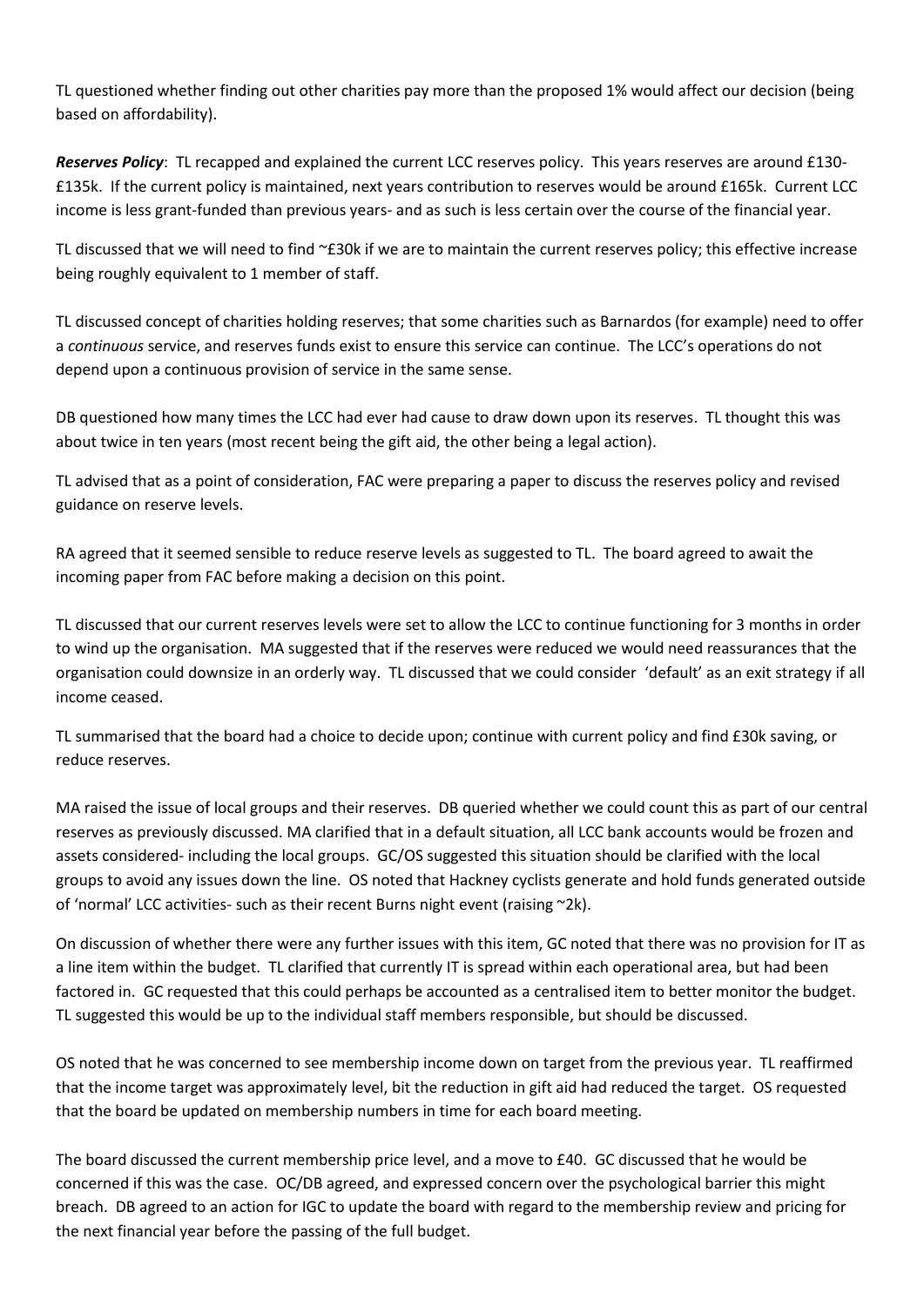TL questioned whether finding out other charities pay more than the proposed 1% would affect our decision (being based on affordability).

*Reserves Policy*: TL recapped and explained the current LCC reserves policy. This years reserves are around £130- £135k. If the current policy is maintained, next years contribution to reserves would be around £165k. Current LCC income is less grant-funded than previous years- and as such is less certain over the course of the financial year.

TL discussed that we will need to find ~£30k if we are to maintain the current reserves policy; this effective increase being roughly equivalent to 1 member of staff.

TL discussed concept of charities holding reserves; that some charities such as Barnardos (for example) need to offer a *continuous* service, and reserves funds exist to ensure this service can continue. The LCC's operations do not depend upon a continuous provision of service in the same sense.

DB questioned how many times the LCC had ever had cause to draw down upon its reserves. TL thought this was about twice in ten years (most recent being the gift aid, the other being a legal action).

TL advised that as a point of consideration, FAC were preparing a paper to discuss the reserves policy and revised guidance on reserve levels.

RA agreed that it seemed sensible to reduce reserve levels as suggested to TL. The board agreed to await the incoming paper from FAC before making a decision on this point.

TL discussed that our current reserves levels were set to allow the LCC to continue functioning for 3 months in order to wind up the organisation. MA suggested that if the reserves were reduced we would need reassurances that the organisation could downsize in an orderly way. TL discussed that we could consider 'default' as an exit strategy if all income ceased.

TL summarised that the board had a choice to decide upon; continue with current policy and find £30k saving, or reduce reserves.

MA raised the issue of local groups and their reserves. DB queried whether we could count this as part of our central reserves as previously discussed. MA clarified that in a default situation, all LCC bank accounts would be frozen and assets considered- including the local groups. GC/OS suggested this situation should be clarified with the local groups to avoid any issues down the line. OS noted that Hackney cyclists generate and hold funds generated outside of 'normal' LCC activities- such as their recent Burns night event (raising ~2k).

On discussion of whether there were any further issues with this item, GC noted that there was no provision for IT as a line item within the budget. TL clarified that currently IT is spread within each operational area, but had been factored in. GC requested that this could perhaps be accounted as a centralised item to better monitor the budget. TL suggested this would be up to the individual staff members responsible, but should be discussed.

OS noted that he was concerned to see membership income down on target from the previous year. TL reaffirmed that the income target was approximately level, bit the reduction in gift aid had reduced the target. OS requested that the board be updated on membership numbers in time for each board meeting.

The board discussed the current membership price level, and a move to £40. GC discussed that he would be concerned if this was the case. OC/DB agreed, and expressed concern over the psychological barrier this might breach. DB agreed to an action for IGC to update the board with regard to the membership review and pricing for the next financial year before the passing of the full budget.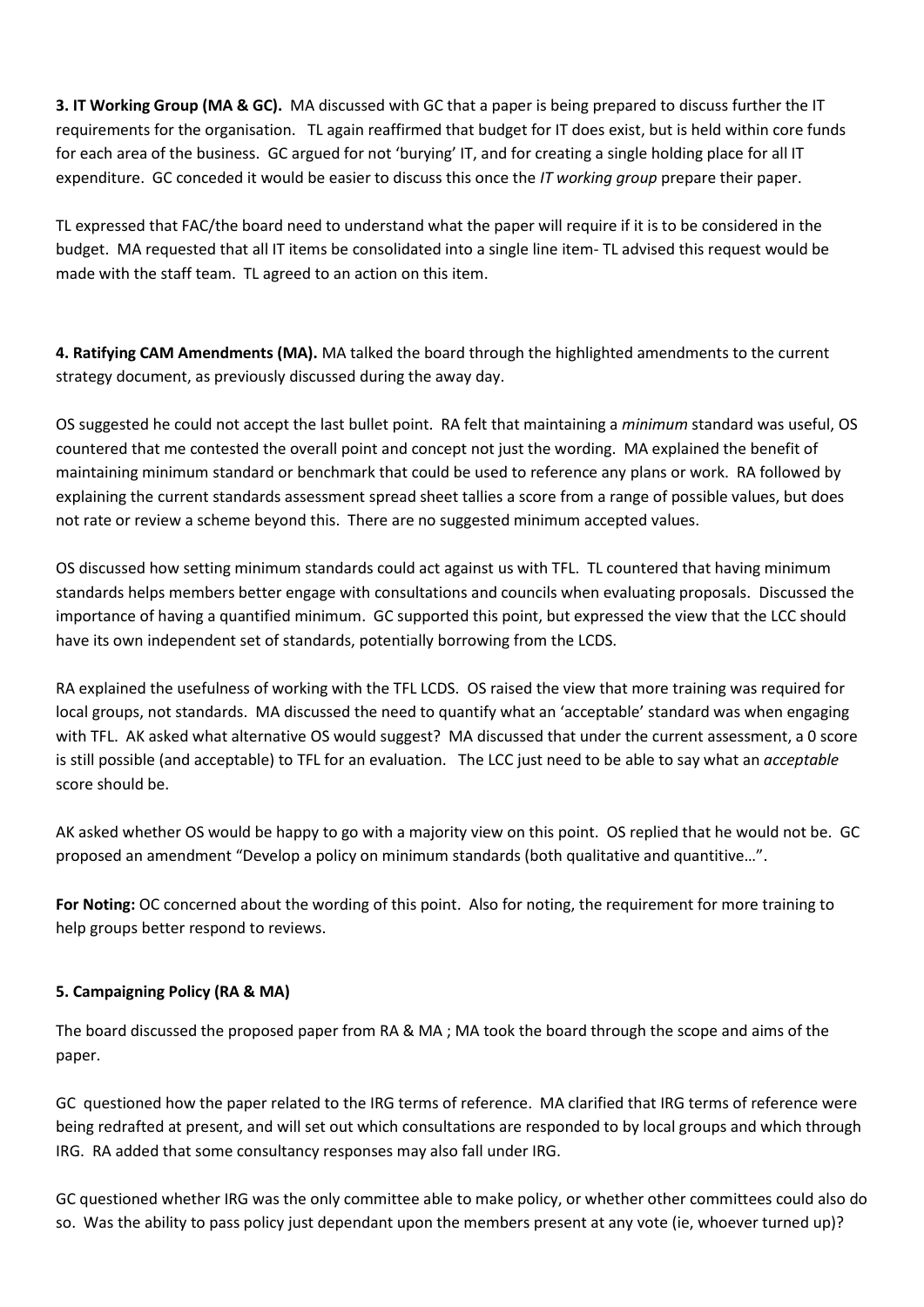**3. IT Working Group (MA & GC).** MA discussed with GC that a paper is being prepared to discuss further the IT requirements for the organisation. TL again reaffirmed that budget for IT does exist, but is held within core funds for each area of the business. GC argued for not 'burying' IT, and for creating a single holding place for all IT expenditure. GC conceded it would be easier to discuss this once the *IT working group* prepare their paper.

TL expressed that FAC/the board need to understand what the paper will require if it is to be considered in the budget. MA requested that all IT items be consolidated into a single line item- TL advised this request would be made with the staff team. TL agreed to an action on this item.

**4. Ratifying CAM Amendments (MA).** MA talked the board through the highlighted amendments to the current strategy document, as previously discussed during the away day.

OS suggested he could not accept the last bullet point. RA felt that maintaining a *minimum* standard was useful, OS countered that me contested the overall point and concept not just the wording. MA explained the benefit of maintaining minimum standard or benchmark that could be used to reference any plans or work. RA followed by explaining the current standards assessment spread sheet tallies a score from a range of possible values, but does not rate or review a scheme beyond this. There are no suggested minimum accepted values.

OS discussed how setting minimum standards could act against us with TFL. TL countered that having minimum standards helps members better engage with consultations and councils when evaluating proposals. Discussed the importance of having a quantified minimum. GC supported this point, but expressed the view that the LCC should have its own independent set of standards, potentially borrowing from the LCDS.

RA explained the usefulness of working with the TFL LCDS. OS raised the view that more training was required for local groups, not standards. MA discussed the need to quantify what an 'acceptable' standard was when engaging with TFL. AK asked what alternative OS would suggest? MA discussed that under the current assessment, a 0 score is still possible (and acceptable) to TFL for an evaluation. The LCC just need to be able to say what an *acceptable* score should be.

AK asked whether OS would be happy to go with a majority view on this point. OS replied that he would not be. GC proposed an amendment "Develop a policy on minimum standards (both qualitative and quantitive…".

**For Noting:** OC concerned about the wording of this point. Also for noting, the requirement for more training to help groups better respond to reviews.

### **5. Campaigning Policy (RA & MA)**

The board discussed the proposed paper from RA & MA ; MA took the board through the scope and aims of the paper.

GC questioned how the paper related to the IRG terms of reference. MA clarified that IRG terms of reference were being redrafted at present, and will set out which consultations are responded to by local groups and which through IRG. RA added that some consultancy responses may also fall under IRG.

GC questioned whether IRG was the only committee able to make policy, or whether other committees could also do so. Was the ability to pass policy just dependant upon the members present at any vote (ie, whoever turned up)?